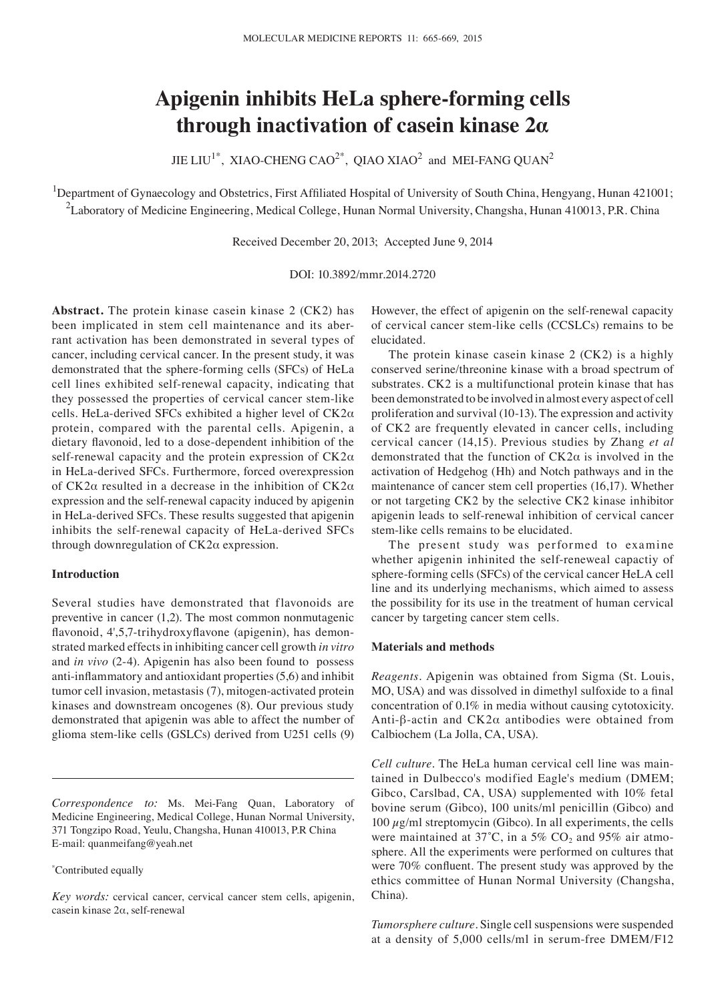# **Apigenin inhibits HeLa sphere‑forming cells through inactivation of casein kinase 2α**

JIE LIU<sup>1\*</sup>, XIAO-CHENG CAO<sup>2\*</sup>, QIAO XIAO<sup>2</sup> and MEI-FANG QUAN<sup>2</sup>

<sup>1</sup>Department of Gynaecology and Obstetrics, First Affiliated Hospital of University of South China, Hengyang, Hunan 421001;  $^2$ Laboratory of Medicine Engineering, Medical College, Hunan Normal University, Changsha, Hunan 410013, P.R. China

Received December 20, 2013; Accepted June 9, 2014

DOI: 10.3892/mmr.2014.2720

**Abstract.** The protein kinase casein kinase 2 (CK2) has been implicated in stem cell maintenance and its aberrant activation has been demonstrated in several types of cancer, including cervical cancer. In the present study, it was demonstrated that the sphere-forming cells (SFCs) of HeLa cell lines exhibited self-renewal capacity, indicating that they possessed the properties of cervical cancer stem-like cells. HeLa-derived SFCs exhibited a higher level of CK2α protein, compared with the parental cells. Apigenin, a dietary flavonoid, led to a dose‑dependent inhibition of the self-renewal capacity and the protein expression of CK2α in HeLa-derived SFCs. Furthermore, forced overexpression of CK2α resulted in a decrease in the inhibition of CK2α expression and the self-renewal capacity induced by apigenin in HeLa-derived SFCs. These results suggested that apigenin inhibits the self-renewal capacity of HeLa-derived SFCs through downregulation of CK2α expression.

### **Introduction**

Several studies have demonstrated that flavonoids are preventive in cancer (1,2). The most common nonmutagenic flavonoid, 4',5,7‑trihydroxyflavone (apigenin), has demonstrated marked effects in inhibiting cancer cell growth *in vitro* and *in vivo* (2‑4). Apigenin has also been found to possess anti-inflammatory and antioxidant properties (5,6) and inhibit tumor cell invasion, metastasis (7), mitogen-activated protein kinases and downstream oncogenes (8). Our previous study demonstrated that apigenin was able to affect the number of glioma stem-like cells (GSLCs) derived from U251 cells (9)

*Correspondence to:* Ms. Mei-Fang Quan, Laboratory of Medicine Engineering, Medical College, Hunan Normal University, 371 Tongzipo Road, Yeulu, Changsha, Hunan 410013, P.R China E-mail: quanmeifang@yeah.net

#### \* Contributed equally

*Key words:* cervical cancer, cervical cancer stem cells, apigenin, casein kinase 2α, self-renewal

However, the effect of apigenin on the self-renewal capacity of cervical cancer stem-like cells (CCSLCs) remains to be elucidated.

The protein kinase casein kinase 2 (CK2) is a highly conserved serine/threonine kinase with a broad spectrum of substrates. CK2 is a multifunctional protein kinase that has been demonstrated to be involved in almost every aspect of cell proliferation and survival (10-13). The expression and activity of CK2 are frequently elevated in cancer cells, including cervical cancer (14,15). Previous studies by Zhang *et al* demonstrated that the function of  $CK2\alpha$  is involved in the activation of Hedgehog (Hh) and Notch pathways and in the maintenance of cancer stem cell properties (16,17). Whether or not targeting CK2 by the selective CK2 kinase inhibitor apigenin leads to self-renewal inhibition of cervical cancer stem-like cells remains to be elucidated.

The present study was performed to examine whether apigenin inhinited the self-reneweal capactiy of sphere-forming cells (SFCs) of the cervical cancer HeLA cell line and its underlying mechanisms, which aimed to assess the possibility for its use in the treatment of human cervical cancer by targeting cancer stem cells.

#### **Materials and methods**

*Reagents.* Apigenin was obtained from Sigma (St. Louis, MO, USA) and was dissolved in dimethyl sulfoxide to a final concentration of 0.1% in media without causing cytotoxicity. Anti-β-actin and CK2α antibodies were obtained from Calbiochem (La Jolla, CA, USA).

*Cell culture.* The HeLa human cervical cell line was maintained in Dulbecco's modified Eagle's medium (DMEM; Gibco, Carslbad, CA, USA) supplemented with 10% fetal bovine serum (Gibco), 100 units/ml penicillin (Gibco) and  $100 \mu g/ml$  streptomycin (Gibco). In all experiments, the cells were maintained at 37°C, in a 5%  $CO<sub>2</sub>$  and 95% air atmosphere. All the experiments were performed on cultures that were 70% confluent. The present study was approved by the ethics committee of Hunan Normal University (Changsha, China).

*Tumorsphere culture.* Single cell suspensions were suspended at a density of 5,000 cells/ml in serum-free DMEM/F12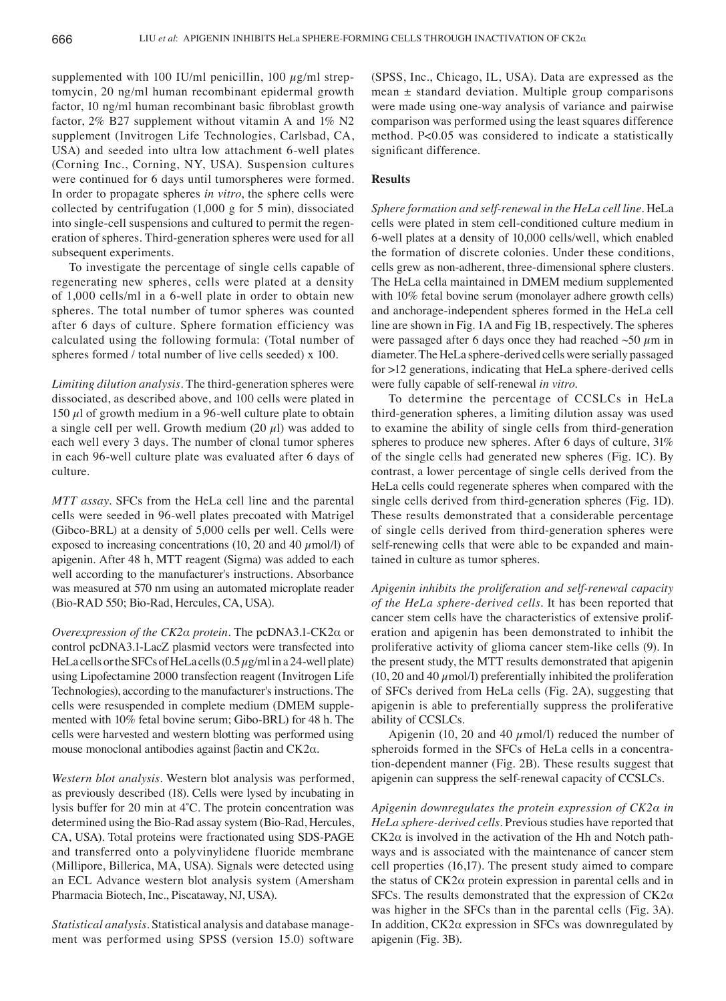supplemented with 100 IU/ml penicillin, 100  $\mu$ g/ml streptomycin, 20 ng/ml human recombinant epidermal growth factor, 10 ng/ml human recombinant basic fibroblast growth factor, 2% B27 supplement without vitamin A and 1% N2 supplement (Invitrogen Life Technologies, Carlsbad, CA, USA) and seeded into ultra low attachment 6-well plates (Corning Inc., Corning, NY, USA). Suspension cultures were continued for 6 days until tumorspheres were formed. In order to propagate spheres *in vitro*, the sphere cells were collected by centrifugation (1,000 g for 5 min), dissociated into single-cell suspensions and cultured to permit the regeneration of spheres. Third-generation spheres were used for all subsequent experiments.

To investigate the percentage of single cells capable of regenerating new spheres, cells were plated at a density of 1,000 cells/ml in a 6-well plate in order to obtain new spheres. The total number of tumor spheres was counted after 6 days of culture. Sphere formation efficiency was calculated using the following formula: (Total number of spheres formed / total number of live cells seeded) x 100.

*Limiting dilution analysis.* The third-generation spheres were dissociated, as described above, and 100 cells were plated in 150  $\mu$ l of growth medium in a 96-well culture plate to obtain a single cell per well. Growth medium  $(20 \mu l)$  was added to each well every 3 days. The number of clonal tumor spheres in each 96-well culture plate was evaluated after 6 days of culture.

*MTT assay.* SFCs from the HeLa cell line and the parental cells were seeded in 96-well plates precoated with Matrigel (Gibco-BRL) at a density of 5,000 cells per well. Cells were exposed to increasing concentrations (10, 20 and 40  $\mu$ mol/l) of apigenin. After 48 h, MTT reagent (Sigma) was added to each well according to the manufacturer's instructions. Absorbance was measured at 570 nm using an automated microplate reader (Bio-RAD 550; Bio-Rad, Hercules, CA, USA).

*Overexpression of the CK2α protein.* The pcDNA3.1-CK2α or control pcDNA3.1‑LacZ plasmid vectors were transfected into HeLa cells or the SFCs of HeLa cells  $(0.5 \,\mu\text{g/ml} \cdot \text{in} \cdot \text{a} \cdot 24$ -well plate) using Lipofectamine 2000 transfection reagent (Invitrogen Life Technologies), according to the manufacturer's instructions. The cells were resuspended in complete medium (DMEM supplemented with 10% fetal bovine serum; Gibo-BRL) for 48 h. The cells were harvested and western blotting was performed using mouse monoclonal antibodies against βactin and CK2α.

*Western blot analysis.* Western blot analysis was performed, as previously described (18). Cells were lysed by incubating in lysis buffer for 20 min at 4˚C. The protein concentration was determined using the Bio-Rad assay system (Bio-Rad, Hercules, CA, USA). Total proteins were fractionated using SDS-PAGE and transferred onto a polyvinylidene fluoride membrane (Millipore, Billerica, MA, USA). Signals were detected using an ECL Advance western blot analysis system (Amersham Pharmacia Biotech, Inc., Piscataway, NJ, USA).

*Statistical analysis.* Statistical analysis and database management was performed using SPSS (version 15.0) software (SPSS, Inc., Chicago, IL, USA). Data are expressed as the mean  $\pm$  standard deviation. Multiple group comparisons were made using one-way analysis of variance and pairwise comparison was performed using the least squares difference method. P<0.05 was considered to indicate a statistically significant difference.

# **Results**

*Sphere formation and self‑renewal in the HeLa cell line.* HeLa cells were plated in stem cell-conditioned culture medium in 6-well plates at a density of 10,000 cells/well, which enabled the formation of discrete colonies. Under these conditions, cells grew as non-adherent, three-dimensional sphere clusters. The HeLa cella maintained in DMEM medium supplemented with 10% fetal bovine serum (monolayer adhere growth cells) and anchorage-independent spheres formed in the HeLa cell line are shown in Fig. 1A and Fig 1B, respectively. The spheres were passaged after 6 days once they had reached  $\sim$ 50  $\mu$ m in diameter. The HeLa sphere-derived cells were serially passaged for >12 generations, indicating that HeLa sphere-derived cells were fully capable of self-renewal *in vitro*.

To determine the percentage of CCSLCs in HeLa third-generation spheres, a limiting dilution assay was used to examine the ability of single cells from third-generation spheres to produce new spheres. After 6 days of culture, 31% of the single cells had generated new spheres (Fig. 1C). By contrast, a lower percentage of single cells derived from the HeLa cells could regenerate spheres when compared with the single cells derived from third-generation spheres (Fig. 1D). These results demonstrated that a considerable percentage of single cells derived from third-generation spheres were self-renewing cells that were able to be expanded and maintained in culture as tumor spheres.

*Apigenin inhibits the proliferation and self‑renewal capacity of the HeLa sphere‑derived cells.* It has been reported that cancer stem cells have the characteristics of extensive proliferation and apigenin has been demonstrated to inhibit the proliferative activity of glioma cancer stem-like cells (9). In the present study, the MTT results demonstrated that apigenin  $(10, 20 \text{ and } 40 \mu \text{mol/l})$  preferentially inhibited the proliferation of SFCs derived from HeLa cells (Fig. 2A), suggesting that apigenin is able to preferentially suppress the proliferative ability of CCSLCs.

Apigenin (10, 20 and 40  $\mu$ mol/l) reduced the number of spheroids formed in the SFCs of HeLa cells in a concentration-dependent manner (Fig. 2B). These results suggest that apigenin can suppress the self-renewal capacity of CCSLCs.

*Apigenin downregulates the protein expression of CK2α in HeLa sphere‑derived cells.* Previous studies have reported that CK2α is involved in the activation of the Hh and Notch pathways and is associated with the maintenance of cancer stem cell properties (16,17). The present study aimed to compare the status of CK2α protein expression in parental cells and in SFCs. The results demonstrated that the expression of  $CK2\alpha$ was higher in the SFCs than in the parental cells (Fig. 3A). In addition, CK2α expression in SFCs was downregulated by apigenin (Fig. 3B).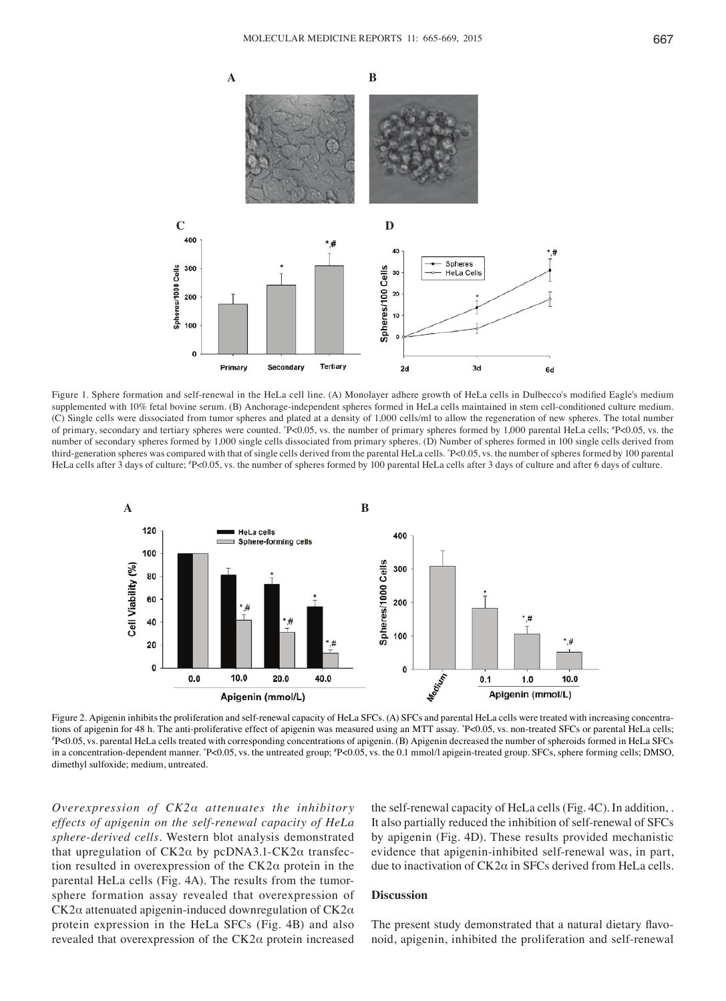

Figure 1. Sphere formation and self-renewal in the HeLa cell line. (A) Monolayer adhere growth of HeLa cells in Dulbecco's modified Eagle's medium supplemented with 10% fetal bovine serum. (B) Anchorage-independent spheres formed in HeLa cells maintained in stem cell-conditioned culture medium. (C) Single cells were dissociated from tumor spheres and plated at a density of 1,000 cells/ml to allow the regeneration of new spheres. The total number of primary, secondary and tertiary spheres were counted. \* P<0.05, vs. the number of primary spheres formed by 1,000 parental HeLa cells; # P<0.05, vs. the number of secondary spheres formed by 1,000 single cells dissociated from primary spheres. (D) Number of spheres formed in 100 single cells derived from third-generation spheres was compared with that of single cells derived from the parental HeLa cells. \* P<0.05, vs. the number of spheres formed by 100 parental HeLa cells after 3 days of culture; # P<0.05, vs. the number of spheres formed by 100 parental HeLa cells after 3 days of culture and after 6 days of culture.



Figure 2. Apigenin inhibits the proliferation and self-renewal capacity of HeLa SFCs. (A) SFCs and parental HeLa cells were treated with increasing concentrations of apigenin for 48 h. The anti-proliferative effect of apigenin was measured using an MTT assay. \*P<0.05, vs. non-treated SFCs or parental HeLa cells; # P<0.05, vs. parental HeLa cells treated with corresponding concentrations of apigenin. (B) Apigenin decreased the number of spheroids formed in HeLa SFCs in a concentration-dependent manner. "P<0.05, vs. the untreated group; "P<0.05, vs. the 0.1 mmol/l apigein-treated group. SFCs, sphere forming cells; DMSO, dimethyl sulfoxide; medium, untreated.

*Overexpression of CK2α attenuates the inhibitory effects of apigenin on the self‑renewal capacity of HeLa sphere‑derived cells.* Western blot analysis demonstrated that upregulation of CK2α by pcDNA3.1-CK2α transfection resulted in overexpression of the  $CK2\alpha$  protein in the parental HeLa cells (Fig. 4A). The results from the tumorsphere formation assay revealed that overexpression of CK2α attenuated apigenin-induced downregulation of CK2α protein expression in the HeLa SFCs (Fig. 4B) and also revealed that overexpression of the CK2α protein increased

the self-renewal capacity of HeLa cells (Fig. 4C). In addition, . It also partially reduced the inhibition of self-renewal of SFCs by apigenin (Fig. 4D). These results provided mechanistic evidence that apigenin-inhibited self-renewal was, in part, due to inactivation of CK2α in SFCs derived from HeLa cells.

# **Discussion**

The present study demonstrated that a natural dietary flavonoid, apigenin, inhibited the proliferation and self-renewal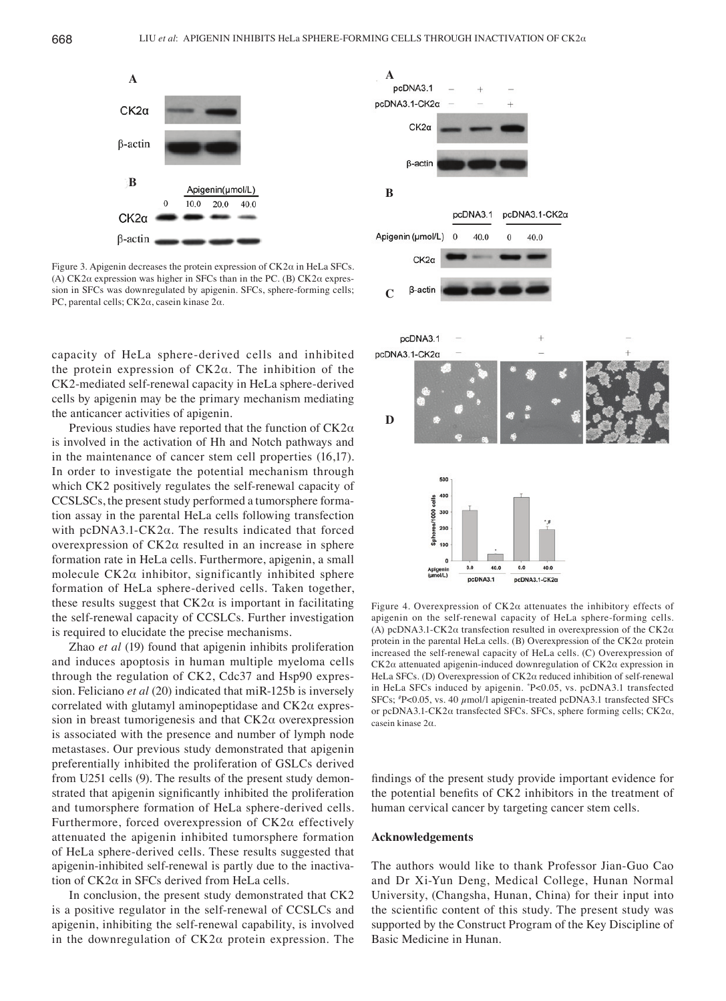

Figure 3. Apigenin decreases the protein expression of CK2α in HeLa SFCs. (A) CK2α expression was higher in SFCs than in the PC. (B) CK2α expression in SFCs was downregulated by apigenin. SFCs, sphere-forming cells; PC, parental cells; CK2α, casein kinase 2α.

capacity of HeLa sphere-derived cells and inhibited the protein expression of  $CK2α$ . The inhibition of the CK2-mediated self-renewal capacity in HeLa sphere-derived cells by apigenin may be the primary mechanism mediating the anticancer activities of apigenin.

Previous studies have reported that the function of CK2α is involved in the activation of Hh and Notch pathways and in the maintenance of cancer stem cell properties (16,17). In order to investigate the potential mechanism through which CK2 positively regulates the self-renewal capacity of CCSLSCs, the present study performed a tumorsphere formation assay in the parental HeLa cells following transfection with pcDNA3.1- $CK2\alpha$ . The results indicated that forced overexpression of CK2α resulted in an increase in sphere formation rate in HeLa cells. Furthermore, apigenin, a small molecule  $CK2\alpha$  inhibitor, significantly inhibited sphere formation of HeLa sphere-derived cells. Taken together, these results suggest that  $CK2\alpha$  is important in facilitating the self-renewal capacity of CCSLCs. Further investigation is required to elucidate the precise mechanisms.

Zhao *et al* (19) found that apigenin inhibits proliferation and induces apoptosis in human multiple myeloma cells through the regulation of CK2, Cdc37 and Hsp90 expression. Feliciano *et al* (20) indicated that miR-125b is inversely correlated with glutamyl aminopeptidase and CK2α expression in breast tumorigenesis and that  $CK2\alpha$  overexpression is associated with the presence and number of lymph node metastases. Our previous study demonstrated that apigenin preferentially inhibited the proliferation of GSLCs derived from U251 cells (9). The results of the present study demonstrated that apigenin significantly inhibited the proliferation and tumorsphere formation of HeLa sphere-derived cells. Furthermore, forced overexpression of CK2α effectively attenuated the apigenin inhibited tumorsphere formation of HeLa sphere-derived cells. These results suggested that apigenin-inhibited self-renewal is partly due to the inactivation of CK2α in SFCs derived from HeLa cells.

In conclusion, the present study demonstrated that CK2 is a positive regulator in the self-renewal of CCSLCs and apigenin, inhibiting the self-renewal capability, is involved in the downregulation of CK2α protein expression. The



Figure 4. Overexpression of CK2α attenuates the inhibitory effects of apigenin on the self-renewal capacity of HeLa sphere-forming cells. (A) pcDNA3.1-CK2α transfection resulted in overexpression of the CK2α protein in the parental HeLa cells. (B) Overexpression of the  $CK2\alpha$  protein increased the self-renewal capacity of HeLa cells. (C) Overexpression of CK2α attenuated apigenin-induced downregulation of CK2α expression in HeLa SFCs. (D) Overexpression of CK2α reduced inhibition of self-renewal in HeLa SFCs induced by apigenin. \* P<0.05, vs. pcDNA3.1 transfected SFCs; # P<0.05, vs. 40 µmol/l apigenin-treated pcDNA3.1 transfected SFCs or pcDNA3.1-CK2α transfected SFCs. SFCs, sphere forming cells; CK2α, casein kinase 2α.

findings of the present study provide important evidence for the potential benefits of CK2 inhibitors in the treatment of human cervical cancer by targeting cancer stem cells.

## **Acknowledgements**

The authors would like to thank Professor Jian-Guo Cao and Dr Xi‑Yun Deng, Medical College, Hunan Normal University, (Changsha, Hunan, China) for their input into the scientific content of this study. The present study was supported by the Construct Program of the Key Discipline of Basic Medicine in Hunan.